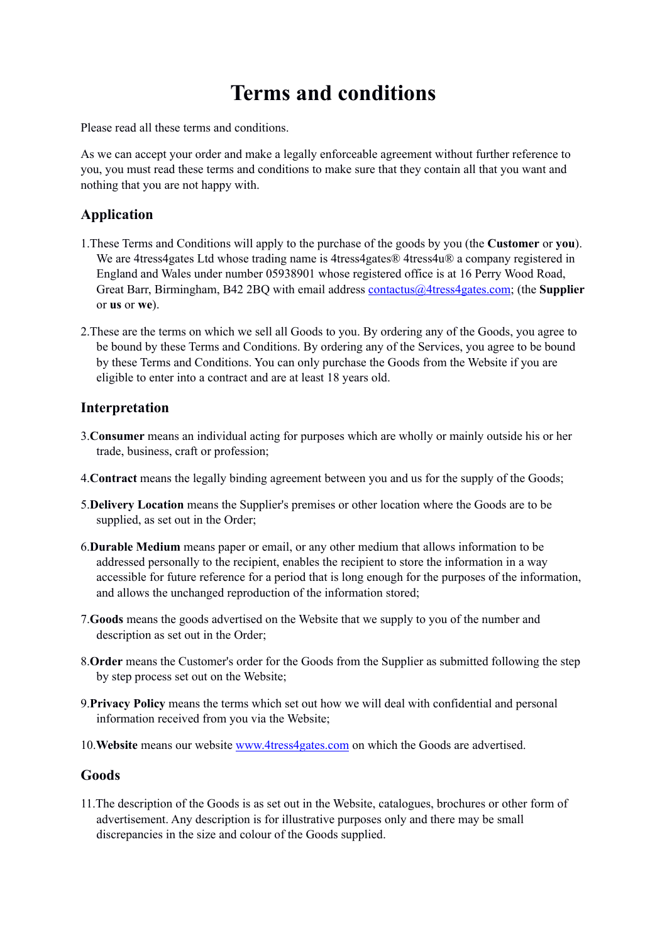# **Terms and conditions**

Please read all these terms and conditions.

As we can accept your order and make a legally enforceable agreement without further reference to you, you must read these terms and conditions to make sure that they contain all that you want and nothing that you are not happy with.

# **Application**

- 1.These Terms and Conditions will apply to the purchase of the goods by you (the **Customer** or **you**). We are 4tress4gates Ltd whose trading name is 4tress4gates® 4tress4u® a company registered in England and Wales under number 05938901 whose registered office is at 16 Perry Wood Road, Great Barr, Birmingham, B42 2BQ with email address [contactus@4tress4gates.com](mailto:contactus@4tress4gates.com); (the **Supplier** or **us** or **we**).
- 2.These are the terms on which we sell all Goods to you. By ordering any of the Goods, you agree to be bound by these Terms and Conditions. By ordering any of the Services, you agree to be bound by these Terms and Conditions. You can only purchase the Goods from the Website if you are eligible to enter into a contract and are at least 18 years old.

## **Interpretation**

- 3.**Consumer** means an individual acting for purposes which are wholly or mainly outside his or her trade, business, craft or profession;
- 4.**Contract** means the legally binding agreement between you and us for the supply of the Goods;
- 5.**Delivery Location** means the Supplier's premises or other location where the Goods are to be supplied, as set out in the Order;
- 6.**Durable Medium** means paper or email, or any other medium that allows information to be addressed personally to the recipient, enables the recipient to store the information in a way accessible for future reference for a period that is long enough for the purposes of the information, and allows the unchanged reproduction of the information stored;
- 7.**Goods** means the goods advertised on the Website that we supply to you of the number and description as set out in the Order;
- 8.**Order** means the Customer's order for the Goods from the Supplier as submitted following the step by step process set out on the Website;
- 9.**Privacy Policy** means the terms which set out how we will deal with confidential and personal information received from you via the Website;
- 10.**Website** means our website [www.4tress4gates.com](https://www.4tress4gates.com) on which the Goods are advertised.

### **Goods**

11.The description of the Goods is as set out in the Website, catalogues, brochures or other form of advertisement. Any description is for illustrative purposes only and there may be small discrepancies in the size and colour of the Goods supplied.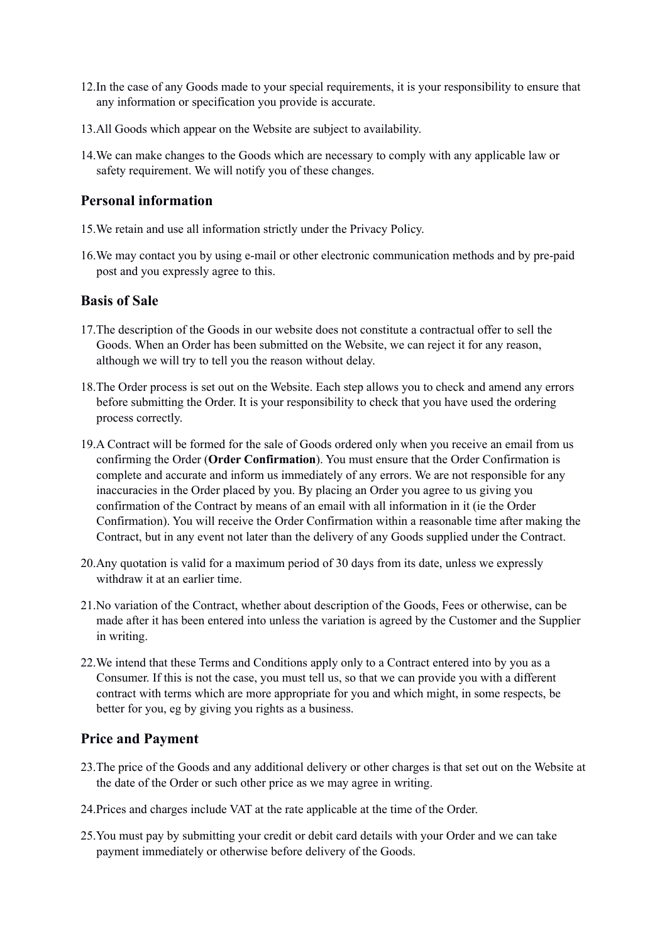- 12.In the case of any Goods made to your special requirements, it is your responsibility to ensure that any information or specification you provide is accurate.
- 13.All Goods which appear on the Website are subject to availability.
- 14.We can make changes to the Goods which are necessary to comply with any applicable law or safety requirement. We will notify you of these changes.

### **Personal information**

- 15.We retain and use all information strictly under the Privacy Policy.
- 16.We may contact you by using e-mail or other electronic communication methods and by pre-paid post and you expressly agree to this.

### **Basis of Sale**

- 17.The description of the Goods in our website does not constitute a contractual offer to sell the Goods. When an Order has been submitted on the Website, we can reject it for any reason, although we will try to tell you the reason without delay.
- 18.The Order process is set out on the Website. Each step allows you to check and amend any errors before submitting the Order. It is your responsibility to check that you have used the ordering process correctly.
- 19.A Contract will be formed for the sale of Goods ordered only when you receive an email from us confirming the Order (**Order Confirmation**). You must ensure that the Order Confirmation is complete and accurate and inform us immediately of any errors. We are not responsible for any inaccuracies in the Order placed by you. By placing an Order you agree to us giving you confirmation of the Contract by means of an email with all information in it (ie the Order Confirmation). You will receive the Order Confirmation within a reasonable time after making the Contract, but in any event not later than the delivery of any Goods supplied under the Contract.
- 20.Any quotation is valid for a maximum period of 30 days from its date, unless we expressly withdraw it at an earlier time.
- 21.No variation of the Contract, whether about description of the Goods, Fees or otherwise, can be made after it has been entered into unless the variation is agreed by the Customer and the Supplier in writing.
- 22.We intend that these Terms and Conditions apply only to a Contract entered into by you as a Consumer. If this is not the case, you must tell us, so that we can provide you with a different contract with terms which are more appropriate for you and which might, in some respects, be better for you, eg by giving you rights as a business.

### **Price and Payment**

- 23.The price of the Goods and any additional delivery or other charges is that set out on the Website at the date of the Order or such other price as we may agree in writing.
- 24.Prices and charges include VAT at the rate applicable at the time of the Order.
- 25.You must pay by submitting your credit or debit card details with your Order and we can take payment immediately or otherwise before delivery of the Goods.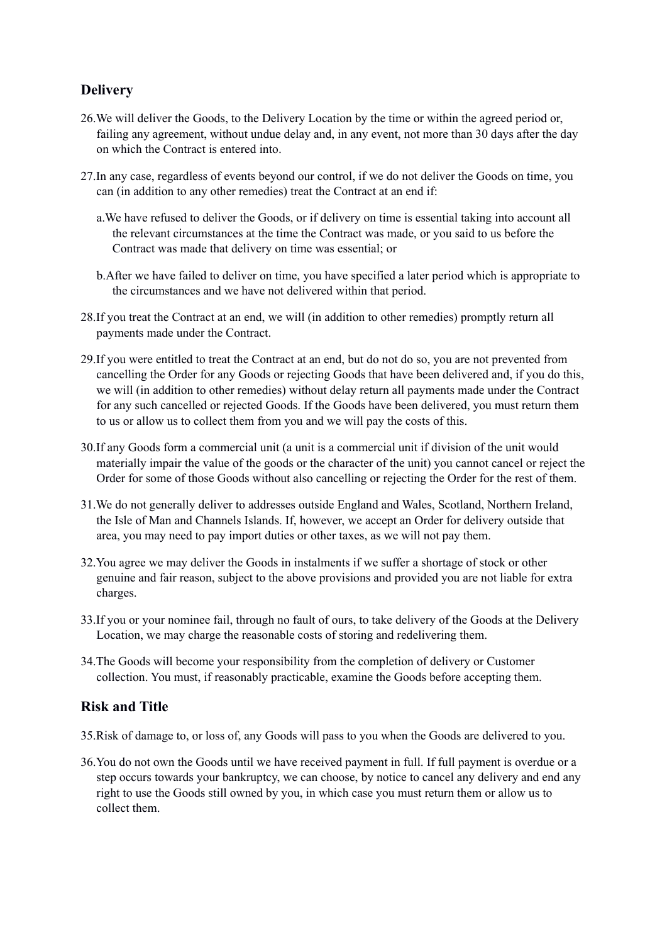# **Delivery**

- 26.We will deliver the Goods, to the Delivery Location by the time or within the agreed period or, failing any agreement, without undue delay and, in any event, not more than 30 days after the day on which the Contract is entered into.
- 27.In any case, regardless of events beyond our control, if we do not deliver the Goods on time, you can (in addition to any other remedies) treat the Contract at an end if:
	- a.We have refused to deliver the Goods, or if delivery on time is essential taking into account all the relevant circumstances at the time the Contract was made, or you said to us before the Contract was made that delivery on time was essential; or
	- b.After we have failed to deliver on time, you have specified a later period which is appropriate to the circumstances and we have not delivered within that period.
- 28.If you treat the Contract at an end, we will (in addition to other remedies) promptly return all payments made under the Contract.
- 29.If you were entitled to treat the Contract at an end, but do not do so, you are not prevented from cancelling the Order for any Goods or rejecting Goods that have been delivered and, if you do this, we will (in addition to other remedies) without delay return all payments made under the Contract for any such cancelled or rejected Goods. If the Goods have been delivered, you must return them to us or allow us to collect them from you and we will pay the costs of this.
- 30.If any Goods form a commercial unit (a unit is a commercial unit if division of the unit would materially impair the value of the goods or the character of the unit) you cannot cancel or reject the Order for some of those Goods without also cancelling or rejecting the Order for the rest of them.
- 31.We do not generally deliver to addresses outside England and Wales, Scotland, Northern Ireland, the Isle of Man and Channels Islands. If, however, we accept an Order for delivery outside that area, you may need to pay import duties or other taxes, as we will not pay them.
- 32.You agree we may deliver the Goods in instalments if we suffer a shortage of stock or other genuine and fair reason, subject to the above provisions and provided you are not liable for extra charges.
- 33.If you or your nominee fail, through no fault of ours, to take delivery of the Goods at the Delivery Location, we may charge the reasonable costs of storing and redelivering them.
- 34.The Goods will become your responsibility from the completion of delivery or Customer collection. You must, if reasonably practicable, examine the Goods before accepting them.

# **Risk and Title**

35.Risk of damage to, or loss of, any Goods will pass to you when the Goods are delivered to you.

36.You do not own the Goods until we have received payment in full. If full payment is overdue or a step occurs towards your bankruptcy, we can choose, by notice to cancel any delivery and end any right to use the Goods still owned by you, in which case you must return them or allow us to collect them.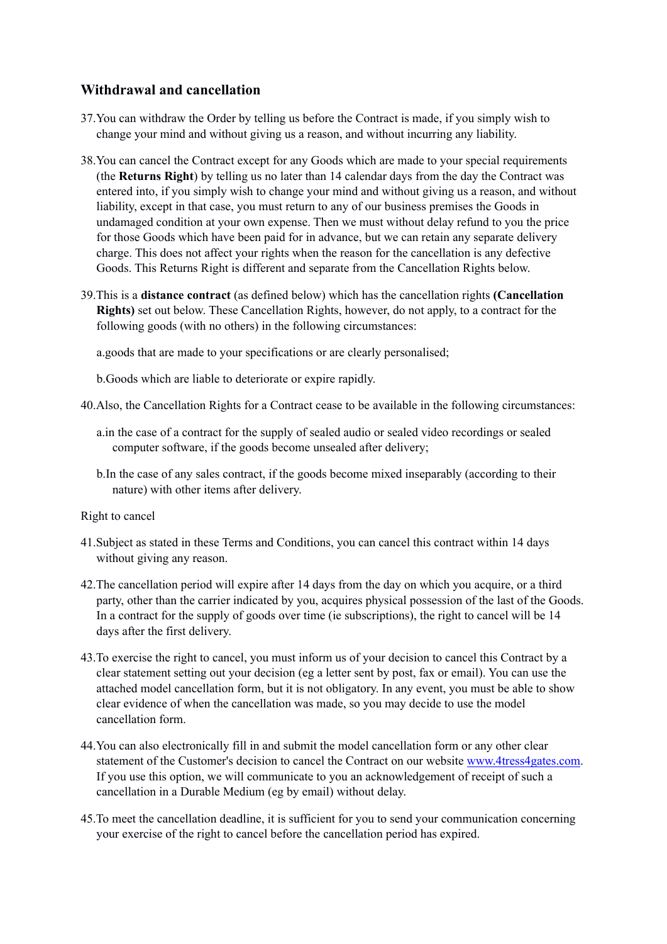### **Withdrawal and cancellation**

- 37.You can withdraw the Order by telling us before the Contract is made, if you simply wish to change your mind and without giving us a reason, and without incurring any liability.
- 38.You can cancel the Contract except for any Goods which are made to your special requirements (the **Returns Right**) by telling us no later than 14 calendar days from the day the Contract was entered into, if you simply wish to change your mind and without giving us a reason, and without liability, except in that case, you must return to any of our business premises the Goods in undamaged condition at your own expense. Then we must without delay refund to you the price for those Goods which have been paid for in advance, but we can retain any separate delivery charge. This does not affect your rights when the reason for the cancellation is any defective Goods. This Returns Right is different and separate from the Cancellation Rights below.
- 39.This is a **distance contract** (as defined below) which has the cancellation rights **(Cancellation Rights)** set out below. These Cancellation Rights, however, do not apply, to a contract for the following goods (with no others) in the following circumstances:

a.goods that are made to your specifications or are clearly personalised;

b.Goods which are liable to deteriorate or expire rapidly.

- 40.Also, the Cancellation Rights for a Contract cease to be available in the following circumstances:
	- a.in the case of a contract for the supply of sealed audio or sealed video recordings or sealed computer software, if the goods become unsealed after delivery;
	- b.In the case of any sales contract, if the goods become mixed inseparably (according to their nature) with other items after delivery.

#### Right to cancel

- 41.Subject as stated in these Terms and Conditions, you can cancel this contract within 14 days without giving any reason.
- 42.The cancellation period will expire after 14 days from the day on which you acquire, or a third party, other than the carrier indicated by you, acquires physical possession of the last of the Goods. In a contract for the supply of goods over time (ie subscriptions), the right to cancel will be 14 days after the first delivery.
- 43.To exercise the right to cancel, you must inform us of your decision to cancel this Contract by a clear statement setting out your decision (eg a letter sent by post, fax or email). You can use the attached model cancellation form, but it is not obligatory. In any event, you must be able to show clear evidence of when the cancellation was made, so you may decide to use the model cancellation form.
- 44.You can also electronically fill in and submit the model cancellation form or any other clear statement of the Customer's decision to cancel the Contract on our website [www.4tress4gates.com](https://www.4tress4gates.com). If you use this option, we will communicate to you an acknowledgement of receipt of such a cancellation in a Durable Medium (eg by email) without delay.
- 45.To meet the cancellation deadline, it is sufficient for you to send your communication concerning your exercise of the right to cancel before the cancellation period has expired.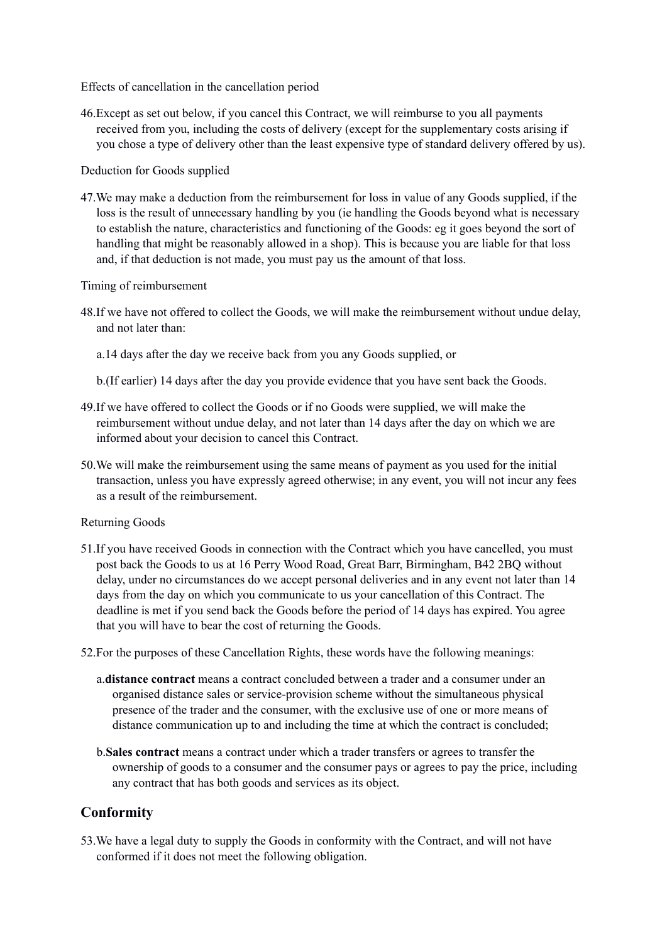Effects of cancellation in the cancellation period

46.Except as set out below, if you cancel this Contract, we will reimburse to you all payments received from you, including the costs of delivery (except for the supplementary costs arising if you chose a type of delivery other than the least expensive type of standard delivery offered by us).

Deduction for Goods supplied

47.We may make a deduction from the reimbursement for loss in value of any Goods supplied, if the loss is the result of unnecessary handling by you (ie handling the Goods beyond what is necessary to establish the nature, characteristics and functioning of the Goods: eg it goes beyond the sort of handling that might be reasonably allowed in a shop). This is because you are liable for that loss and, if that deduction is not made, you must pay us the amount of that loss.

Timing of reimbursement

- 48.If we have not offered to collect the Goods, we will make the reimbursement without undue delay, and not later than:
	- a.14 days after the day we receive back from you any Goods supplied, or
	- b.(If earlier) 14 days after the day you provide evidence that you have sent back the Goods.
- 49.If we have offered to collect the Goods or if no Goods were supplied, we will make the reimbursement without undue delay, and not later than 14 days after the day on which we are informed about your decision to cancel this Contract.
- 50.We will make the reimbursement using the same means of payment as you used for the initial transaction, unless you have expressly agreed otherwise; in any event, you will not incur any fees as a result of the reimbursement.

#### Returning Goods

- 51.If you have received Goods in connection with the Contract which you have cancelled, you must post back the Goods to us at 16 Perry Wood Road, Great Barr, Birmingham, B42 2BQ without delay, under no circumstances do we accept personal deliveries and in any event not later than 14 days from the day on which you communicate to us your cancellation of this Contract. The deadline is met if you send back the Goods before the period of 14 days has expired. You agree that you will have to bear the cost of returning the Goods.
- 52.For the purposes of these Cancellation Rights, these words have the following meanings:
	- a.**distance contract** means a contract concluded between a trader and a consumer under an organised distance sales or service-provision scheme without the simultaneous physical presence of the trader and the consumer, with the exclusive use of one or more means of distance communication up to and including the time at which the contract is concluded;
	- b.**Sales contract** means a contract under which a trader transfers or agrees to transfer the ownership of goods to a consumer and the consumer pays or agrees to pay the price, including any contract that has both goods and services as its object.

# **Conformity**

53.We have a legal duty to supply the Goods in conformity with the Contract, and will not have conformed if it does not meet the following obligation.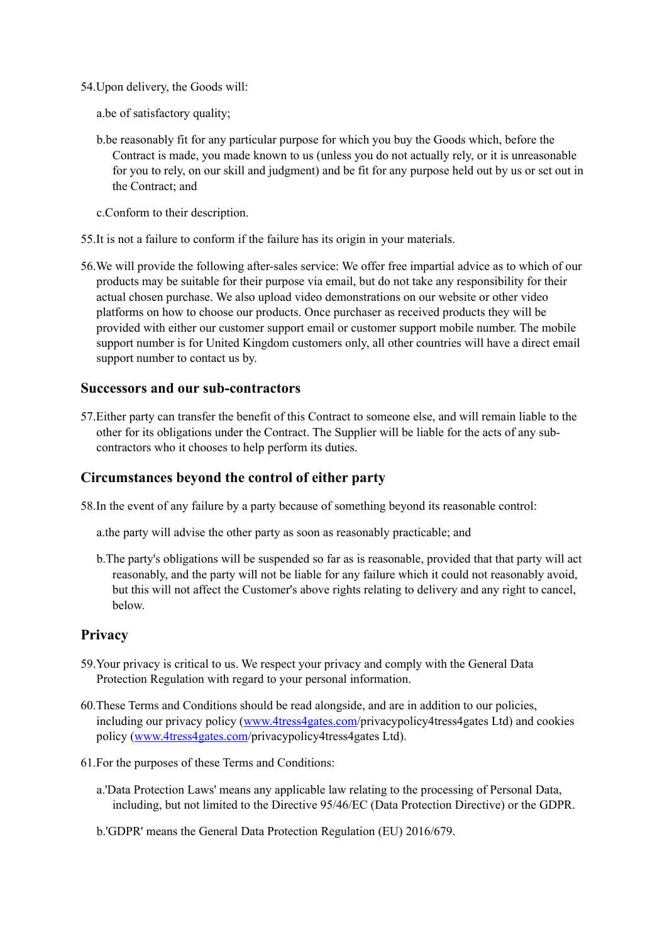54.Upon delivery, the Goods will:

a.be of satisfactory quality;

b.be reasonably fit for any particular purpose for which you buy the Goods which, before the Contract is made, you made known to us (unless you do not actually rely, or it is unreasonable for you to rely, on our skill and judgment) and be fit for any purpose held out by us or set out in the Contract; and

c.Conform to their description.

- 55.It is not a failure to conform if the failure has its origin in your materials.
- 56.We will provide the following after-sales service: We offer free impartial advice as to which of our products may be suitable for their purpose via email, but do not take any responsibility for their actual chosen purchase. We also upload video demonstrations on our website or other video platforms on how to choose our products. Once purchaser as received products they will be provided with either our customer support email or customer support mobile number. The mobile support number is for United Kingdom customers only, all other countries will have a direct email support number to contact us by.

### **Successors and our sub-contractors**

57.Either party can transfer the benefit of this Contract to someone else, and will remain liable to the other for its obligations under the Contract. The Supplier will be liable for the acts of any subcontractors who it chooses to help perform its duties.

### **Circumstances beyond the control of either party**

- 58.In the event of any failure by a party because of something beyond its reasonable control:
	- a.the party will advise the other party as soon as reasonably practicable; and
	- b.The party's obligations will be suspended so far as is reasonable, provided that that party will act reasonably, and the party will not be liable for any failure which it could not reasonably avoid, but this will not affect the Customer's above rights relating to delivery and any right to cancel, below.

# **Privacy**

- 59.Your privacy is critical to us. We respect your privacy and comply with the General Data Protection Regulation with regard to your personal information.
- 60.These Terms and Conditions should be read alongside, and are in addition to our policies, including our privacy policy ([www.4tress4gates.com/](https://www.4tress4gates.com/Privacy-Statement/Terms-and-Conditions/)privacypolicy4tress4gates Ltd) and cookies policy [\(www.4tress4gates.com](https://www.4tress4gates.com/Privacy-Statement/Terms-and-Conditions/)/privacypolicy4tress4gates Ltd).
- 61.For the purposes of these Terms and Conditions:
	- a.'Data Protection Laws' means any applicable law relating to the processing of Personal Data, including, but not limited to the Directive 95/46/EC (Data Protection Directive) or the GDPR.
	- b.'GDPR' means the General Data Protection Regulation (EU) 2016/679.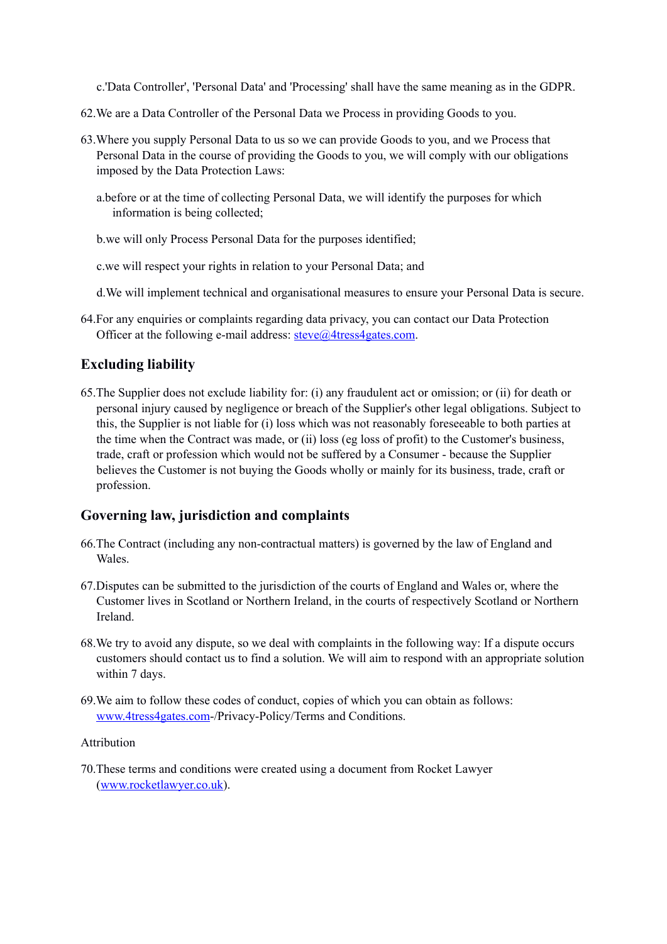- c.'Data Controller', 'Personal Data' and 'Processing' shall have the same meaning as in the GDPR.
- 62.We are a Data Controller of the Personal Data we Process in providing Goods to you.
- 63.Where you supply Personal Data to us so we can provide Goods to you, and we Process that Personal Data in the course of providing the Goods to you, we will comply with our obligations imposed by the Data Protection Laws:
	- a.before or at the time of collecting Personal Data, we will identify the purposes for which information is being collected;
	- b.we will only Process Personal Data for the purposes identified;
	- c.we will respect your rights in relation to your Personal Data; and
	- d.We will implement technical and organisational measures to ensure your Personal Data is secure.
- 64.For any enquiries or complaints regarding data privacy, you can contact our Data Protection Officer at the following e-mail address: [steve@4tress4gates.com.](mailto:no_reply@apple.com)

# **Excluding liability**

65.The Supplier does not exclude liability for: (i) any fraudulent act or omission; or (ii) for death or personal injury caused by negligence or breach of the Supplier's other legal obligations. Subject to this, the Supplier is not liable for (i) loss which was not reasonably foreseeable to both parties at the time when the Contract was made, or (ii) loss (eg loss of profit) to the Customer's business, trade, craft or profession which would not be suffered by a Consumer - because the Supplier believes the Customer is not buying the Goods wholly or mainly for its business, trade, craft or profession.

# **Governing law, jurisdiction and complaints**

- 66.The Contract (including any non-contractual matters) is governed by the law of England and Wales.
- 67.Disputes can be submitted to the jurisdiction of the courts of England and Wales or, where the Customer lives in Scotland or Northern Ireland, in the courts of respectively Scotland or Northern Ireland.
- 68.We try to avoid any dispute, so we deal with complaints in the following way: If a dispute occurs customers should contact us to find a solution. We will aim to respond with an appropriate solution within 7 days.
- 69.We aim to follow these codes of conduct, copies of which you can obtain as follows: [www.4tress4gates.com](https://www.4tress4gates.com)-/Privacy-Policy/Terms and Conditions.

#### Attribution

70.These terms and conditions were created using a document from Rocket Lawyer ([www.rocketlawyer.co.uk](https://www.rocketlawyer.co.uk)).